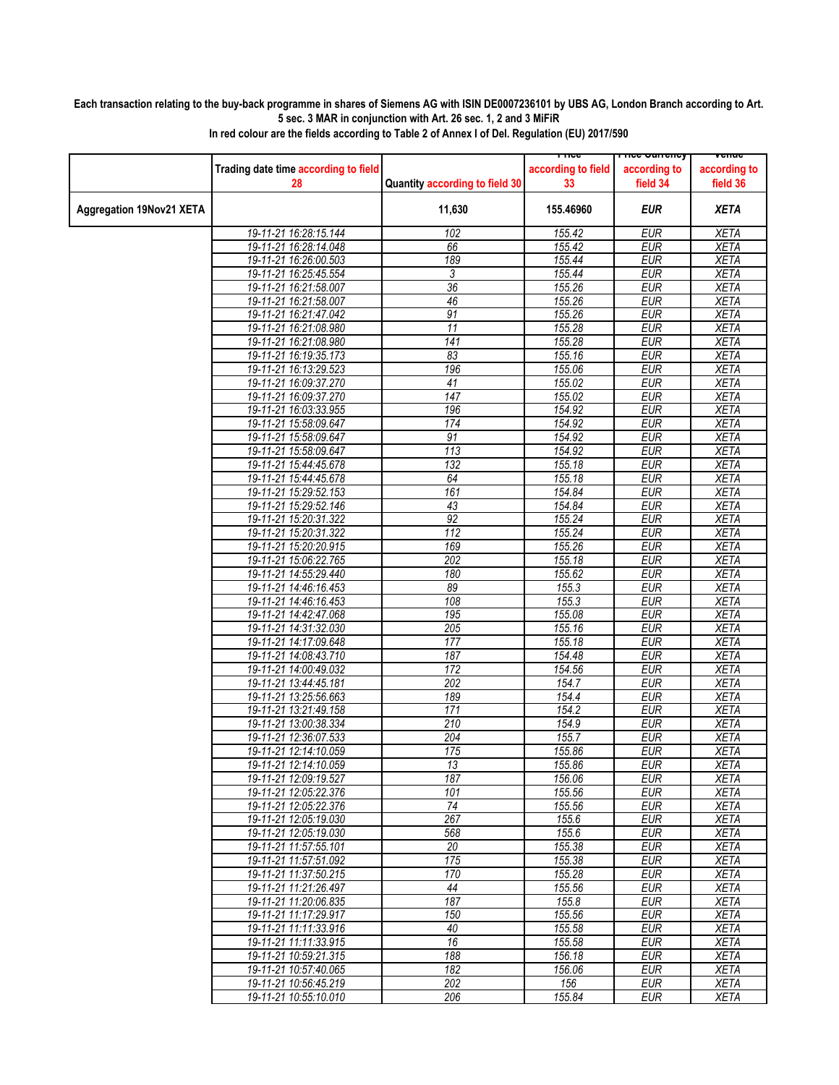## **Each transaction relating to the buy-back programme in shares of Siemens AG with ISIN DE0007236101 by UBS AG, London Branch according to Art. 5 sec. 3 MAR in conjunction with Art. 26 sec. 1, 2 and 3 MiFiR**

|                                 |                                      |                                | LIICG              | rn <del>ce cunency</del> | venue        |
|---------------------------------|--------------------------------------|--------------------------------|--------------------|--------------------------|--------------|
|                                 | Trading date time according to field |                                | according to field | according to             | according to |
|                                 |                                      |                                |                    |                          |              |
|                                 | 28                                   | Quantity according to field 30 | 33                 | field 34                 | field 36     |
|                                 |                                      |                                |                    |                          |              |
| <b>Aggregation 19Nov21 XETA</b> |                                      | 11,630                         | 155.46960          | EUR                      | <b>XETA</b>  |
|                                 | 19-11-21 16:28:15.144                | 102                            | 155.42             | <b>EUR</b>               | <b>XETA</b>  |
|                                 |                                      |                                |                    | <b>EUR</b>               |              |
|                                 | 19-11-21 16:28:14.048                | 66                             | 155.42             |                          | <b>XETA</b>  |
|                                 | 19-11-21 16:26:00.503                | 189                            | 155.44             | <b>EUR</b>               | <b>XETA</b>  |
|                                 | 19-11-21 16:25:45.554                | 3                              | 155.44             | <b>EUR</b>               | <b>XETA</b>  |
|                                 | 19-11-21 16:21:58.007                | $\overline{36}$                | 155.26             | <b>EUR</b>               | <b>XETA</b>  |
|                                 | 19-11-21 16:21:58.007                | 46                             | 155.26             | <b>EUR</b>               | <b>XETA</b>  |
|                                 | 19-11-21 16:21:47.042                | $\overline{91}$                | 155.26             | <b>EUR</b>               | <b>XETA</b>  |
|                                 | 19-11-21 16:21:08.980                | 11                             | 155.28             | <b>EUR</b>               | <b>XETA</b>  |
|                                 | 19-11-21 16:21:08.980                | 141                            | 155.28             | <b>EUR</b>               | <b>XETA</b>  |
|                                 | 19-11-21 16:19:35.173                | 83                             | 155.16             | <b>EUR</b>               | <b>XETA</b>  |
|                                 | 19-11-21 16:13:29.523                | 196                            | 155.06             | <b>EUR</b>               | <b>XETA</b>  |
|                                 | 19-11-21 16:09:37.270                | 41                             | 155.02             | <b>EUR</b>               | <b>XETA</b>  |
|                                 |                                      | $\overline{147}$               | 155.02             | <b>EUR</b>               | <b>XETA</b>  |
|                                 | 19-11-21 16:09:37.270                |                                |                    |                          |              |
|                                 | 19-11-21 16:03:33.955                | 196                            | 154.92             | <b>EUR</b>               | <b>XETA</b>  |
|                                 | 19-11-21 15:58:09.647                | 174                            | 154.92             | <b>EUR</b>               | <b>XETA</b>  |
|                                 | 19-11-21 15:58:09.647                | 91                             | 154.92             | <b>EUR</b>               | <b>XETA</b>  |
|                                 | 19-11-21 15:58:09.647                | 113                            | 154.92             | <b>EUR</b>               | <b>XETA</b>  |
|                                 | 19-11-21 15:44:45.678                | 132                            | 155.18             | <b>EUR</b>               | <b>XETA</b>  |
|                                 | 19-11-21 15:44:45.678                | 64                             | 155.18             | <b>EUR</b>               | <b>XETA</b>  |
|                                 | 19-11-21 15:29:52.153                | 161                            | 154.84             | <b>EUR</b>               | <b>XETA</b>  |
|                                 | 19-11-21 15:29:52.146                | 43                             | 154.84             | <b>EUR</b>               | <b>XETA</b>  |
|                                 | 19-11-21 15:20:31.322                | 92                             | 155.24             | <b>EUR</b>               | <b>XETA</b>  |
|                                 | 19-11-21 15:20:31.322                | $\overline{112}$               | 155.24             | <b>EUR</b>               | <b>XETA</b>  |
|                                 | 19-11-21 15:20:20.915                | 169                            | 155.26             | <b>EUR</b>               | <b>XETA</b>  |
|                                 | 19-11-21 15:06:22.765                | 202                            | 155.18             | <b>EUR</b>               | <b>XETA</b>  |
|                                 | 19-11-21 14:55:29.440                | 180                            | 155.62             | <b>EUR</b>               | <b>XETA</b>  |
|                                 | 19-11-21 14:46:16.453                | 89                             | 155.3              | <b>EUR</b>               | <b>XETA</b>  |
|                                 | 19-11-21 14:46:16.453                | 108                            | 155.3              | <b>EUR</b>               | <b>XETA</b>  |
|                                 |                                      | 195                            |                    | <b>EUR</b>               | <b>XETA</b>  |
|                                 | 19-11-21 14:42:47.068                |                                | 155.08             |                          |              |
|                                 | 19-11-21 14:31:32.030                | 205                            | 155.16             | <b>EUR</b>               | <b>XETA</b>  |
|                                 | 19-11-21 14:17:09.648                | 177                            | 155.18             | <b>EUR</b>               | <b>XETA</b>  |
|                                 | 19-11-21 14:08:43.710                | 187                            | 154.48             | <b>EUR</b>               | <b>XETA</b>  |
|                                 | 19-11-21 14:00:49.032                | 172                            | 154.56             | <b>EUR</b>               | <b>XETA</b>  |
|                                 | 19-11-21 13:44:45.181                | 202                            | 154.7              | <b>EUR</b>               | <b>XETA</b>  |
|                                 | 19-11-21 13:25:56.663                | 189                            | 154.4              | <b>EUR</b>               | <b>XETA</b>  |
|                                 | 19-11-21 13:21:49.158                | 171                            | 154.2              | <b>EUR</b>               | <b>XETA</b>  |
|                                 | 19-11-21 13:00:38.334                | 210                            | 154.9              | <b>EUR</b>               | <b>XETA</b>  |
|                                 | 19-11-21 12:36:07.533                | $\overline{204}$               | 155.7              | <b>EUR</b>               | <b>XETA</b>  |
|                                 | 19-11-21 12:14:10.059                | 175                            | 155.86             | <b>EUR</b>               | <b>XETA</b>  |
|                                 | 19-11-21 12:14:10.059                | 13                             | 155.86             | <b>EUR</b>               | <b>XETA</b>  |
|                                 | 19-11-21 12:09:19.527                | 187                            | 156.06             | <b>EUR</b>               | <b>XETA</b>  |
|                                 | 19-11-21 12:05:22.376                | 101                            | 155.56             | <b>EUR</b>               | <b>XETA</b>  |
|                                 | 19-11-21 12:05:22.376                | $\overline{74}$                | 155.56             | <b>EUR</b>               | <b>XETA</b>  |
|                                 | 19-11-21 12:05:19.030                | 267                            | 155.6              | <b>EUR</b>               | <b>XETA</b>  |
|                                 | 19-11-21 12:05:19.030                | 568                            | 155.6              | <b>EUR</b>               | <b>XETA</b>  |
|                                 | 19-11-21 11:57:55.101                | 20                             | 155.38             | <b>EUR</b>               | <b>XETA</b>  |
|                                 | 19-11-21 11:57:51.092                | 175                            | 155.38             | <b>EUR</b>               | <b>XETA</b>  |
|                                 | 19-11-21 11:37:50.215                |                                |                    |                          |              |
|                                 |                                      | 170                            | 155.28             | <b>EUR</b>               | <b>XETA</b>  |
|                                 | 19-11-21 11:21:26.497                | 44                             | 155.56             | <b>EUR</b>               | <b>XETA</b>  |
|                                 | 19-11-21 11:20:06.835                | 187                            | 155.8              | <b>EUR</b>               | <b>XETA</b>  |
|                                 | 19-11-21 11:17:29.917                | 150                            | 155.56             | <b>EUR</b>               | <b>XETA</b>  |
|                                 | 19-11-21 11:11:33.916                | 40                             | 155.58             | <b>EUR</b>               | <b>XETA</b>  |
|                                 | 19-11-21 11:11:33.915                | 16                             | 155.58             | EUR                      | <b>XETA</b>  |
|                                 | 19-11-21 10:59:21.315                | 188                            | 156.18             | <b>EUR</b>               | <b>XETA</b>  |
|                                 | 19-11-21 10:57:40.065                | 182                            | 156.06             | <b>EUR</b>               | <b>XETA</b>  |
|                                 | 19-11-21 10:56:45.219                | 202                            | 156                | <b>EUR</b>               | XETA         |
|                                 | 19-11-21 10:55:10.010                | 206                            | 155.84             | <b>EUR</b>               | <b>XETA</b>  |
|                                 |                                      |                                |                    |                          |              |

**In red colour are the fields according to Table 2 of Annex I of Del. Regulation (EU) 2017/590**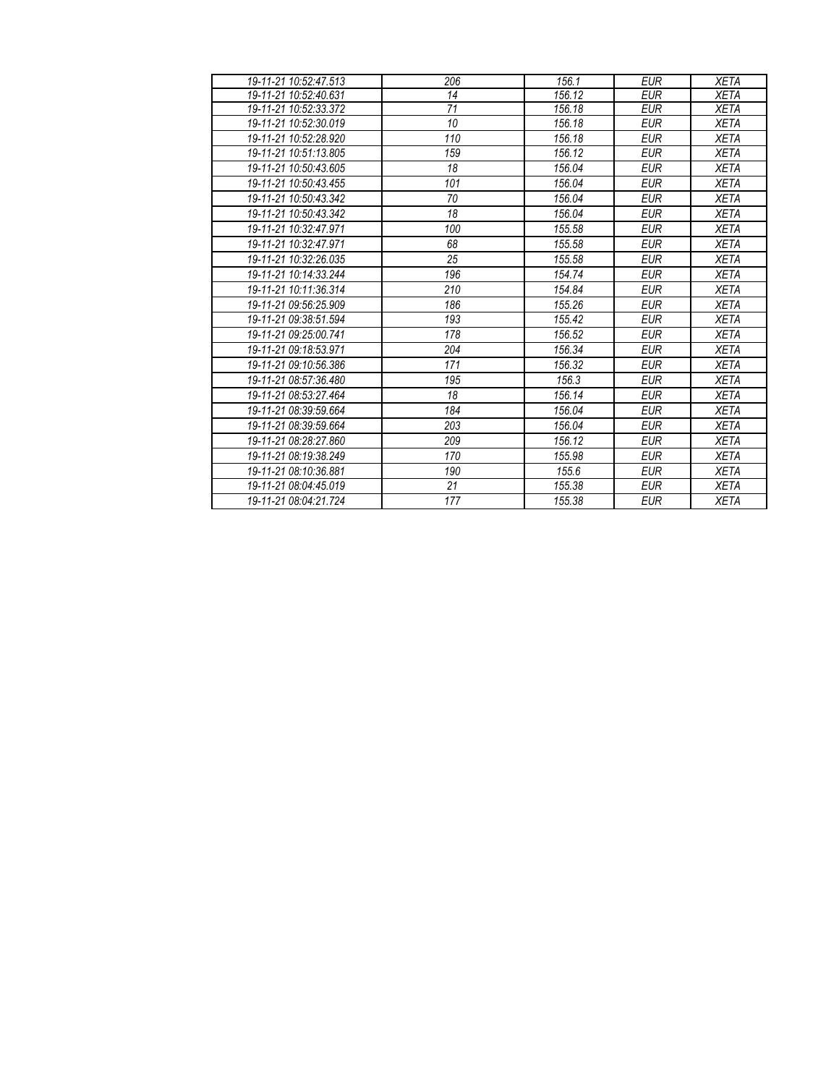| 19-11-21 10:52:47.513 | 206 | 156.1  | <b>EUR</b> | <b>XETA</b> |
|-----------------------|-----|--------|------------|-------------|
| 19-11-21 10:52:40.631 | 14  | 156.12 | <b>EUR</b> | <b>XETA</b> |
| 19-11-21 10:52:33.372 | 71  | 156.18 | <b>EUR</b> | <b>XETA</b> |
| 19-11-21 10:52:30.019 | 10  | 156.18 | <b>EUR</b> | <b>XETA</b> |
| 19-11-21 10:52:28.920 | 110 | 156.18 | <b>EUR</b> | <b>XETA</b> |
| 19-11-21 10:51:13.805 | 159 | 156.12 | <b>EUR</b> | <b>XETA</b> |
| 19-11-21 10:50:43.605 | 18  | 156.04 | <b>EUR</b> | <b>XETA</b> |
| 19-11-21 10:50:43.455 | 101 | 156.04 | <b>EUR</b> | <b>XETA</b> |
| 19-11-21 10:50:43.342 | 70  | 156.04 | <b>EUR</b> | <b>XETA</b> |
| 19-11-21 10:50:43.342 | 18  | 156.04 | <b>EUR</b> | <b>XETA</b> |
| 19-11-21 10:32:47.971 | 100 | 155.58 | <b>EUR</b> | <b>XETA</b> |
| 19-11-21 10:32:47.971 | 68  | 155.58 | <b>EUR</b> | <b>XETA</b> |
| 19-11-21 10:32:26.035 | 25  | 155.58 | <b>EUR</b> | <b>XETA</b> |
| 19-11-21 10:14:33.244 | 196 | 154.74 | <b>EUR</b> | <b>XETA</b> |
| 19-11-21 10:11:36.314 | 210 | 154.84 | <b>EUR</b> | <b>XETA</b> |
| 19-11-21 09:56:25.909 | 186 | 155.26 | <b>EUR</b> | <b>XETA</b> |
| 19-11-21 09:38:51.594 | 193 | 155.42 | <b>EUR</b> | <b>XETA</b> |
| 19-11-21 09:25:00.741 | 178 | 156.52 | <b>EUR</b> | <b>XETA</b> |
| 19-11-21 09:18:53.971 | 204 | 156.34 | <b>EUR</b> | <b>XETA</b> |
| 19-11-21 09:10:56.386 | 171 | 156.32 | <b>EUR</b> | <b>XETA</b> |
| 19-11-21 08:57:36.480 | 195 | 156.3  | <b>EUR</b> | <b>XETA</b> |
| 19-11-21 08:53:27.464 | 18  | 156.14 | <b>EUR</b> | <b>XETA</b> |
| 19-11-21 08:39:59.664 | 184 | 156.04 | <b>EUR</b> | <b>XETA</b> |
| 19-11-21 08:39:59.664 | 203 | 156.04 | <b>EUR</b> | <b>XETA</b> |
| 19-11-21 08:28:27.860 | 209 | 156.12 | <b>EUR</b> | <b>XETA</b> |
| 19-11-21 08:19:38.249 | 170 | 155.98 | <b>EUR</b> | <b>XETA</b> |
| 19-11-21 08:10:36.881 | 190 | 155.6  | <b>EUR</b> | <b>XETA</b> |
| 19-11-21 08:04:45.019 | 21  | 155.38 | <b>EUR</b> | <b>XETA</b> |
| 19-11-21 08:04:21.724 | 177 | 155.38 | <b>EUR</b> | <b>XETA</b> |
|                       |     |        |            |             |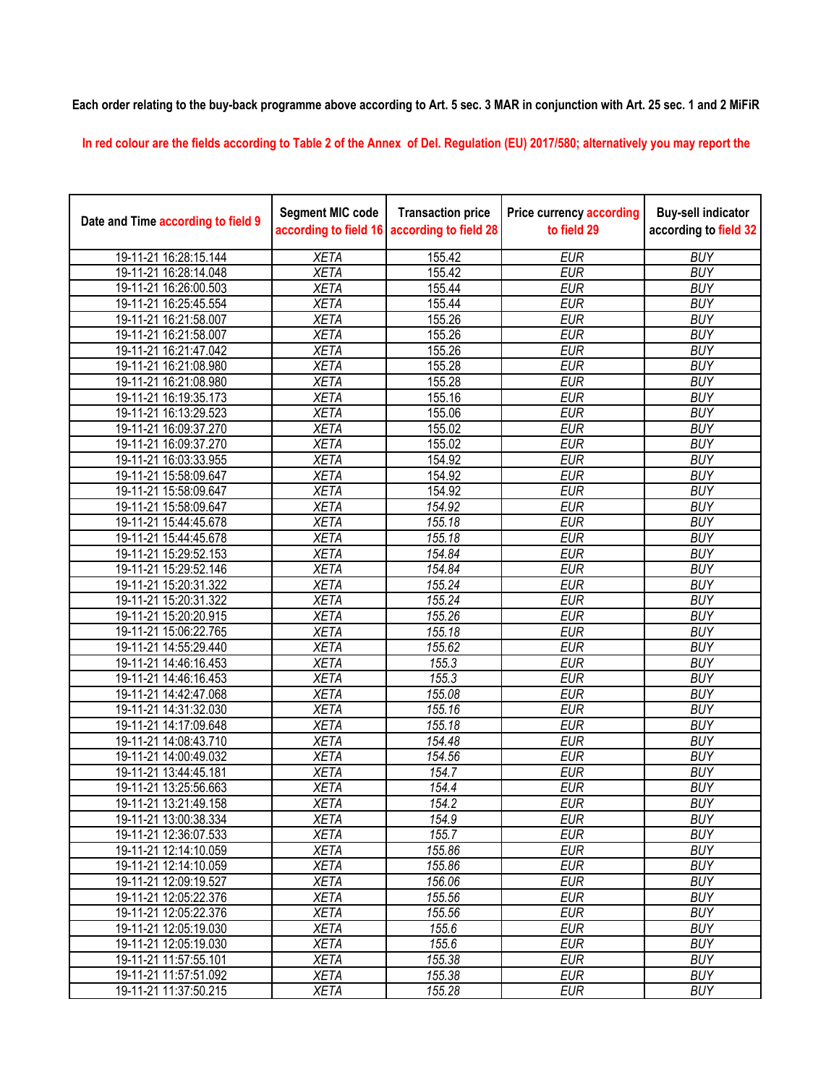**Each order relating to the buy-back programme above according to Art. 5 sec. 3 MAR in conjunction with Art. 25 sec. 1 and 2 MiFiR** 

**In red colour are the fields according to Table 2 of the Annex of Del. Regulation (EU) 2017/580; alternatively you may report the** 

| Date and Time according to field 9 | <b>Segment MIC code</b><br>according to field 16 | <b>Transaction price</b><br>according to field 28 | <b>Price currency according</b><br>to field 29 | <b>Buy-sell indicator</b><br>according to field 32 |
|------------------------------------|--------------------------------------------------|---------------------------------------------------|------------------------------------------------|----------------------------------------------------|
| 19-11-21 16:28:15.144              | <b>XETA</b>                                      | 155.42                                            | <b>EUR</b>                                     | <b>BUY</b>                                         |
| 19-11-21 16:28:14.048              | <b>XETA</b>                                      | 155.42                                            | <b>EUR</b>                                     | <b>BUY</b>                                         |
| 19-11-21 16:26:00.503              | <b>XETA</b>                                      | 155.44                                            | <b>EUR</b>                                     | <b>BUY</b>                                         |
| 19-11-21 16:25:45.554              | <b>XETA</b>                                      | 155.44                                            | <b>EUR</b>                                     | <b>BUY</b>                                         |
| 19-11-21 16:21:58.007              | <b>XETA</b>                                      | 155.26                                            | <b>EUR</b>                                     | <b>BUY</b>                                         |
| 19-11-21 16:21:58.007              | <b>XETA</b>                                      | 155.26                                            | <b>EUR</b>                                     | <b>BUY</b>                                         |
| 19-11-21 16:21:47.042              | <b>XETA</b>                                      | 155.26                                            | <b>EUR</b>                                     | <b>BUY</b>                                         |
| 19-11-21 16:21:08.980              | <b>XETA</b>                                      | 155.28                                            | <b>EUR</b>                                     | <b>BUY</b>                                         |
| 19-11-21 16:21:08.980              | <b>XETA</b>                                      | 155.28                                            | <b>EUR</b>                                     | <b>BUY</b>                                         |
| 19-11-21 16:19:35.173              | <b>XETA</b>                                      | 155.16                                            | <b>EUR</b>                                     | <b>BUY</b>                                         |
| 19-11-21 16:13:29.523              | <b>XETA</b>                                      | 155.06                                            | <b>EUR</b>                                     | <b>BUY</b>                                         |
| 19-11-21 16:09:37.270              | <b>XETA</b>                                      | 155.02                                            | <b>EUR</b>                                     | <b>BUY</b>                                         |
| 19-11-21 16:09:37.270              | <b>XETA</b>                                      | 155.02                                            | <b>EUR</b>                                     | <b>BUY</b>                                         |
| 19-11-21 16:03:33.955              | <b>XETA</b>                                      | 154.92                                            | <b>EUR</b>                                     | <b>BUY</b>                                         |
| 19-11-21 15:58:09.647              | <b>XETA</b>                                      | 154.92                                            | <b>EUR</b>                                     | <b>BUY</b>                                         |
| 19-11-21 15:58:09.647              | <b>XETA</b>                                      | 154.92                                            | <b>EUR</b>                                     | <b>BUY</b>                                         |
| 19-11-21 15:58:09.647              | <b>XETA</b>                                      | 154.92                                            | <b>EUR</b>                                     | <b>BUY</b>                                         |
| 19-11-21 15:44:45.678              | <b>XETA</b>                                      | 155.18                                            | <b>EUR</b>                                     | <b>BUY</b>                                         |
| 19-11-21 15:44:45.678              | <b>XETA</b>                                      | 155.18                                            | <b>EUR</b>                                     | <b>BUY</b>                                         |
| 19-11-21 15:29:52.153              | <b>XETA</b>                                      | 154.84                                            | <b>EUR</b>                                     | <b>BUY</b>                                         |
| 19-11-21 15:29:52.146              | <b>XETA</b>                                      | 154.84                                            | <b>EUR</b>                                     | <b>BUY</b>                                         |
| 19-11-21 15:20:31.322              | <b>XETA</b>                                      | 155.24                                            | <b>EUR</b>                                     | <b>BUY</b>                                         |
| 19-11-21 15:20:31.322              | <b>XETA</b>                                      | 155.24                                            | <b>EUR</b>                                     | <b>BUY</b>                                         |
| 19-11-21 15:20:20.915              | <b>XETA</b>                                      | 155.26                                            | <b>EUR</b>                                     | <b>BUY</b>                                         |
| 19-11-21 15:06:22.765              | <b>XETA</b>                                      | 155.18                                            | <b>EUR</b>                                     | <b>BUY</b>                                         |
| 19-11-21 14:55:29.440              | <b>XETA</b>                                      | 155.62                                            | <b>EUR</b>                                     | <b>BUY</b>                                         |
| 19-11-21 14:46:16.453              | <b>XETA</b>                                      | 155.3                                             | <b>EUR</b>                                     | <b>BUY</b>                                         |
| 19-11-21 14:46:16.453              | <b>XETA</b>                                      | 155.3                                             | <b>EUR</b>                                     | <b>BUY</b>                                         |
| 19-11-21 14:42:47.068              | <b>XETA</b>                                      | 155.08                                            | <b>EUR</b>                                     | <b>BUY</b>                                         |
| 19-11-21 14:31:32.030              | <b>XETA</b>                                      | 155.16                                            | <b>EUR</b>                                     | <b>BUY</b>                                         |
| 19-11-21 14:17:09.648              | <b>XETA</b>                                      | 155.18                                            | <b>EUR</b>                                     | <b>BUY</b>                                         |
| 19-11-21 14:08:43.710              | <b>XETA</b>                                      | 154.48                                            | <b>EUR</b>                                     | <b>BUY</b>                                         |
| 19-11-21 14:00:49.032              | <b>XETA</b>                                      | 154.56                                            | <b>EUR</b>                                     | <b>BUY</b>                                         |
| 19-11-21 13:44:45.181              | <b>XETA</b>                                      | 154.7                                             | <b>EUR</b>                                     | <b>BUY</b>                                         |
| 19-11-21 13:25:56.663              | <b>XETA</b>                                      | 154.4                                             | <b>EUR</b>                                     | <b>BUY</b>                                         |
| 19-11-21 13:21:49.158              | <b>XETA</b>                                      | 154.2                                             | <b>EUR</b>                                     | <b>BUY</b>                                         |
| 19-11-21 13:00:38.334              | <b>XETA</b>                                      | 154.9                                             | <b>EUR</b>                                     | <b>BUY</b>                                         |
| 19-11-21 12:36:07.533              | <b>XETA</b>                                      | 155.7                                             | <b>EUR</b>                                     | <b>BUY</b>                                         |
| 19-11-21 12:14:10.059              | <b>XETA</b>                                      | 155.86                                            | <b>EUR</b>                                     | <b>BUY</b>                                         |
| 19-11-21 12:14:10.059              | <b>XETA</b>                                      | 155.86                                            | <b>EUR</b>                                     | <b>BUY</b>                                         |
| 19-11-21 12:09:19.527              | <b>XETA</b>                                      | 156.06                                            | <b>EUR</b>                                     | <b>BUY</b>                                         |
| 19-11-21 12:05:22.376              | <b>XETA</b>                                      | 155.56                                            | <b>EUR</b>                                     | <b>BUY</b>                                         |
| 19-11-21 12:05:22.376              | <b>XETA</b>                                      | 155.56                                            | <b>EUR</b>                                     | <b>BUY</b>                                         |
| 19-11-21 12:05:19.030              | <b>XETA</b>                                      | 155.6                                             | <b>EUR</b>                                     | <b>BUY</b>                                         |
| 19-11-21 12:05:19.030              | <b>XETA</b>                                      | 155.6                                             | EUR                                            | <b>BUY</b>                                         |
| 19-11-21 11:57:55.101              | <b>XETA</b>                                      | 155.38                                            | <b>EUR</b>                                     | <b>BUY</b>                                         |
| 19-11-21 11:57:51.092              | <b>XETA</b>                                      | 155.38                                            | <b>EUR</b>                                     | <b>BUY</b>                                         |
| 19-11-21 11:37:50.215              | <b>XETA</b>                                      | 155.28                                            | <b>EUR</b>                                     | <b>BUY</b>                                         |